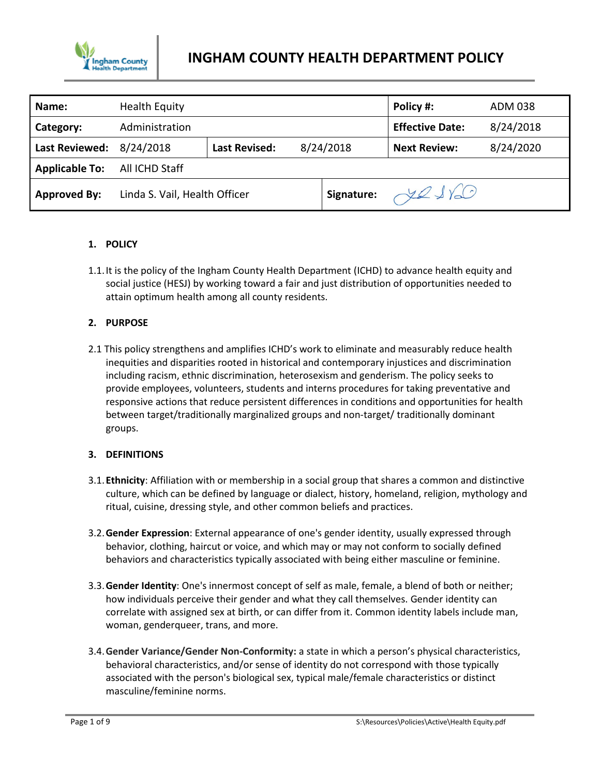

| Name:                 | <b>Health Equity</b>          |                      |           | Policy #:              | ADM 038   |
|-----------------------|-------------------------------|----------------------|-----------|------------------------|-----------|
| Category:             | Administration                |                      |           | <b>Effective Date:</b> | 8/24/2018 |
| Last Reviewed:        | 8/24/2018                     | <b>Last Revised:</b> | 8/24/2018 | <b>Next Review:</b>    | 8/24/2020 |
| <b>Applicable To:</b> | All ICHD Staff                |                      |           |                        |           |
| <b>Approved By:</b>   | Linda S. Vail, Health Officer |                      |           | Signature: You         |           |

### **1. POLICY**

1.1.It is the policy of the Ingham County Health Department (ICHD) to advance health equity and social justice (HESJ) by working toward a fair and just distribution of opportunities needed to attain optimum health among all county residents.

## **2. PURPOSE**

2.1 This policy strengthens and amplifies ICHD's work to eliminate and measurably reduce health inequities and disparities rooted in historical and contemporary injustices and discrimination including racism, ethnic discrimination, heterosexism and genderism. The policy seeks to provide employees, volunteers, students and interns procedures for taking preventative and responsive actions that reduce persistent differences in conditions and opportunities for health between target/traditionally marginalized groups and non-target/ traditionally dominant groups.

### **3. DEFINITIONS**

- 3.1.**Ethnicity**: Affiliation with or membership in a social group that shares a common and distinctive culture, which can be defined by language or dialect, history, homeland, religion, mythology and ritual, cuisine, dressing style, and other common beliefs and practices.
- 3.2.**Gender Expression**: External appearance of one's gender identity, usually expressed through behavior, clothing, haircut or voice, and which may or may not conform to socially defined behaviors and characteristics typically associated with being either masculine or feminine.
- 3.3.**Gender Identity**: One's innermost concept of self as male, female, a blend of both or neither; how individuals perceive their gender and what they call themselves. Gender identity can correlate with assigned sex at birth, or can differ from it. Common identity labels include man, woman, genderqueer, trans, and more.
- 3.4.**Gender Variance/Gender Non-Conformity:** a state in which a person's physical characteristics, behavioral characteristics, and/or sense of identity do not correspond with those typically associated with the person's biological sex, typical male/female characteristics or distinct masculine/feminine norms.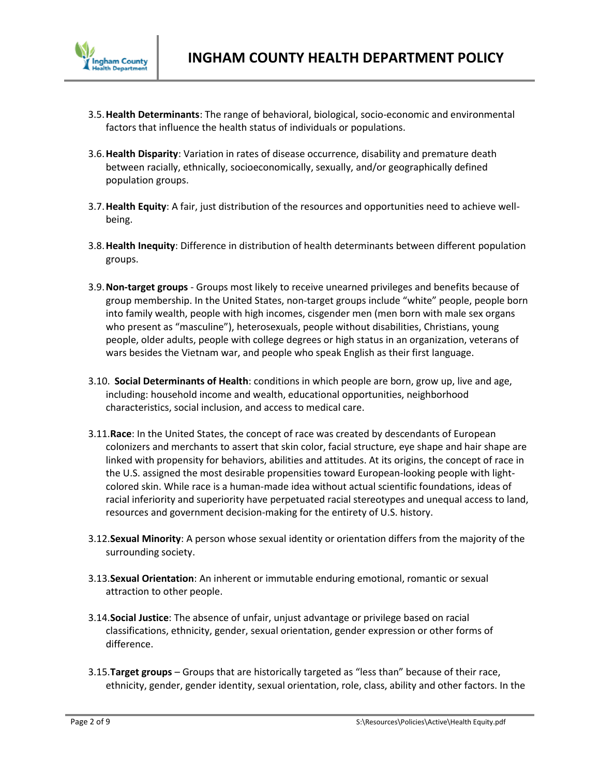

- 3.5.**Health Determinants**: The range of behavioral, biological, socio-economic and environmental factors that influence the health status of individuals or populations.
- 3.6.**Health Disparity**: Variation in rates of disease occurrence, disability and premature death between racially, ethnically, socioeconomically, sexually, and/or geographically defined population groups.
- 3.7.**Health Equity**: A fair, just distribution of the resources and opportunities need to achieve wellbeing.
- 3.8.**Health Inequity**: Difference in distribution of health determinants between different population groups.
- 3.9.**Non-target groups** Groups most likely to receive unearned privileges and benefits because of group membership. In the United States, non-target groups include "white" people, people born into family wealth, people with high incomes, cisgender men (men born with male sex organs who present as "masculine"), heterosexuals, people without disabilities, Christians, young people, older adults, people with college degrees or high status in an organization, veterans of wars besides the Vietnam war, and people who speak English as their first language.
- 3.10. **Social Determinants of Health**: conditions in which people are born, grow up, live and age, including: household income and wealth, educational opportunities, neighborhood characteristics, social inclusion, and access to medical care.
- 3.11.**Race**: In the United States, the concept of race was created by descendants of European colonizers and merchants to assert that skin color, facial structure, eye shape and hair shape are linked with propensity for behaviors, abilities and attitudes. At its origins, the concept of race in the U.S. assigned the most desirable propensities toward European-looking people with lightcolored skin. While race is a human-made idea without actual scientific foundations, ideas of racial inferiority and superiority have perpetuated racial stereotypes and unequal access to land, resources and government decision-making for the entirety of U.S. history.
- 3.12.**Sexual Minority**: A person whose sexual identity or orientation differs from the majority of the surrounding society.
- 3.13.**Sexual Orientation**: An inherent or immutable enduring emotional, romantic or sexual attraction to other people.
- 3.14.**Social Justice**: The absence of unfair, unjust advantage or privilege based on racial classifications, ethnicity, gender, sexual orientation, gender expression or other forms of difference.
- 3.15.**Target groups** Groups that are historically targeted as "less than" because of their race, ethnicity, gender, gender identity, sexual orientation, role, class, ability and other factors. In the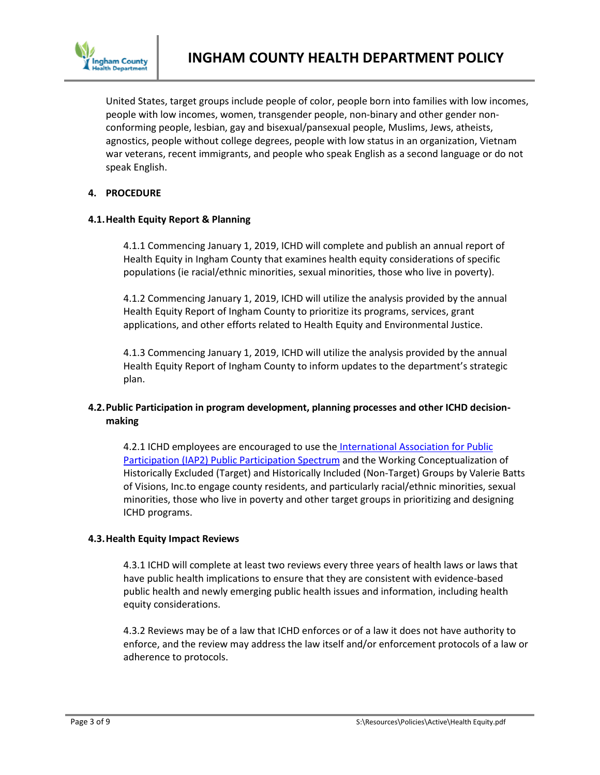

United States, target groups include people of color, people born into families with low incomes, people with low incomes, women, transgender people, non-binary and other gender nonconforming people, lesbian, gay and bisexual/pansexual people, Muslims, Jews, atheists, agnostics, people without college degrees, people with low status in an organization, Vietnam war veterans, recent immigrants, and people who speak English as a second language or do not speak English.

## **4. PROCEDURE**

### **4.1.Health Equity Report & Planning**

4.1.1 Commencing January 1, 2019, ICHD will complete and publish an annual report of Health Equity in Ingham County that examines health equity considerations of specific populations (ie racial/ethnic minorities, sexual minorities, those who live in poverty).

4.1.2 Commencing January 1, 2019, ICHD will utilize the analysis provided by the annual Health Equity Report of Ingham County to prioritize its programs, services, grant applications, and other efforts related to Health Equity and Environmental Justice.

4.1.3 Commencing January 1, 2019, ICHD will utilize the analysis provided by the annual Health Equity Report of Ingham County to inform updates to the department's strategic plan.

# **4.2.Public Participation in program development, planning processes and other ICHD decisionmaking**

4.2.1 ICHD employees are encouraged to use the International Association for Public **[Participation \(IAP2\) Public Participation Spectrum](https://cdn.ymaws.com/www.iap2.org/resource/resmgr/foundations_course/IAP2_P2_Spectrum_FINAL.pdf) and the Working Conceptualization of** Historically Excluded (Target) and Historically Included (Non-Target) Groups by Valerie Batts of Visions, Inc.to engage county residents, and particularly racial/ethnic minorities, sexual minorities, those who live in poverty and other target groups in prioritizing and designing ICHD programs.

### **4.3.Health Equity Impact Reviews**

4.3.1 ICHD will complete at least two reviews every three years of health laws or laws that have public health implications to ensure that they are consistent with evidence-based public health and newly emerging public health issues and information, including health equity considerations.

4.3.2 Reviews may be of a law that ICHD enforces or of a law it does not have authority to enforce, and the review may address the law itself and/or enforcement protocols of a law or adherence to protocols.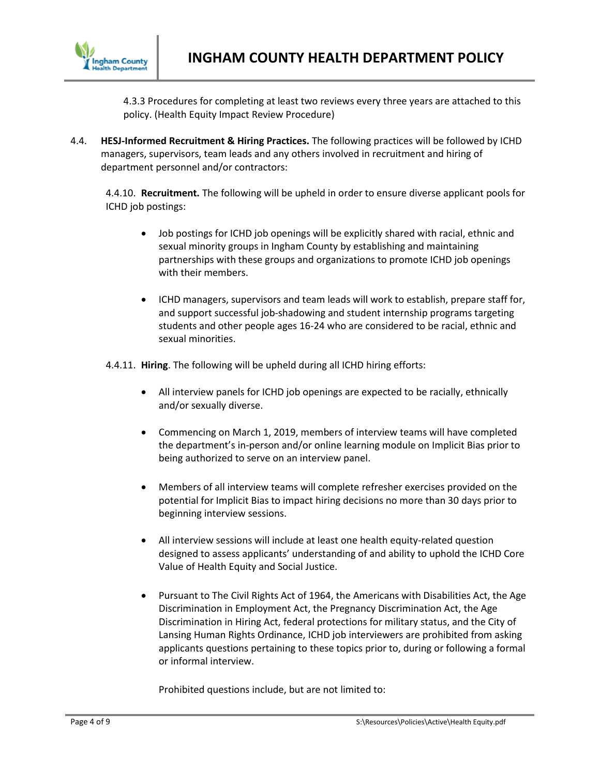

4.3.3 Procedures for completing at least two reviews every three years are attached to this policy. (Health Equity Impact Review Procedure)

4.4. **HESJ-Informed Recruitment & Hiring Practices.** The following practices will be followed by ICHD managers, supervisors, team leads and any others involved in recruitment and hiring of department personnel and/or contractors:

4.4.10. **Recruitment.** The following will be upheld in order to ensure diverse applicant pools for ICHD job postings:

- Job postings for ICHD job openings will be explicitly shared with racial, ethnic and sexual minority groups in Ingham County by establishing and maintaining partnerships with these groups and organizations to promote ICHD job openings with their members.
- ICHD managers, supervisors and team leads will work to establish, prepare staff for, and support successful job-shadowing and student internship programs targeting students and other people ages 16-24 who are considered to be racial, ethnic and sexual minorities.

4.4.11. **Hiring**. The following will be upheld during all ICHD hiring efforts:

- All interview panels for ICHD job openings are expected to be racially, ethnically and/or sexually diverse.
- Commencing on March 1, 2019, members of interview teams will have completed the department's in-person and/or online learning module on Implicit Bias prior to being authorized to serve on an interview panel.
- Members of all interview teams will complete refresher exercises provided on the potential for Implicit Bias to impact hiring decisions no more than 30 days prior to beginning interview sessions.
- All interview sessions will include at least one health equity-related question designed to assess applicants' understanding of and ability to uphold the ICHD Core Value of Health Equity and Social Justice.
- Pursuant to The Civil Rights Act of 1964, the Americans with Disabilities Act, the Age Discrimination in Employment Act, the Pregnancy Discrimination Act, the Age Discrimination in Hiring Act, federal protections for military status, and the City of Lansing Human Rights Ordinance, ICHD job interviewers are prohibited from asking applicants questions pertaining to these topics prior to, during or following a formal or informal interview.

Prohibited questions include, but are not limited to: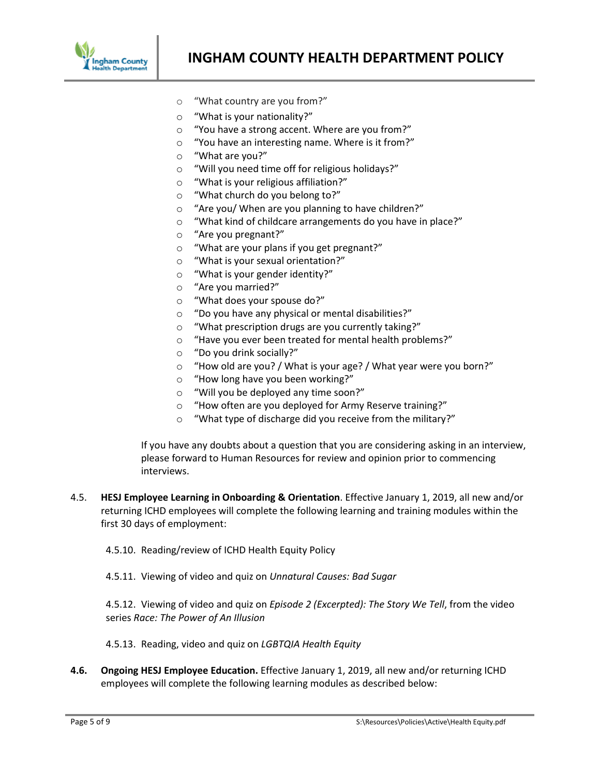

- o "What country are you from?"
- o "What is your nationality?"
- o "You have a strong accent. Where are you from?"
- o "You have an interesting name. Where is it from?"
- o "What are you?"
- o "Will you need time off for religious holidays?"
- o "What is your religious affiliation?"
- o "What church do you belong to?"
- o "Are you/ When are you planning to have children?"
- o "What kind of childcare arrangements do you have in place?"
- o "Are you pregnant?"
- o "What are your plans if you get pregnant?"
- o "What is your sexual orientation?"
- o "What is your gender identity?"
- o "Are you married?"
- o "What does your spouse do?"
- o "Do you have any physical or mental disabilities?"
- o "What prescription drugs are you currently taking?"
- o "Have you ever been treated for mental health problems?"
- o "Do you drink socially?"
- o "How old are you? / What is your age? / What year were you born?"
- o "How long have you been working?"
- o "Will you be deployed any time soon?"
- o "How often are you deployed for Army Reserve training?"
- o "What type of discharge did you receive from the military?"

If you have any doubts about a question that you are considering asking in an interview, please forward to Human Resources for review and opinion prior to commencing interviews.

- 4.5. **HESJ Employee Learning in Onboarding & Orientation**. Effective January 1, 2019, all new and/or returning ICHD employees will complete the following learning and training modules within the first 30 days of employment:
	- 4.5.10. Reading/review of ICHD Health Equity Policy
	- 4.5.11. Viewing of video and quiz on *Unnatural Causes: Bad Sugar*

4.5.12. Viewing of video and quiz on *Episode 2 (Excerpted): The Story We Tell*, from the video series *Race: The Power of An Illusion*

4.5.13. Reading, video and quiz on *LGBTQIA Health Equity*

**4.6. Ongoing HESJ Employee Education.** Effective January 1, 2019, all new and/or returning ICHD employees will complete the following learning modules as described below: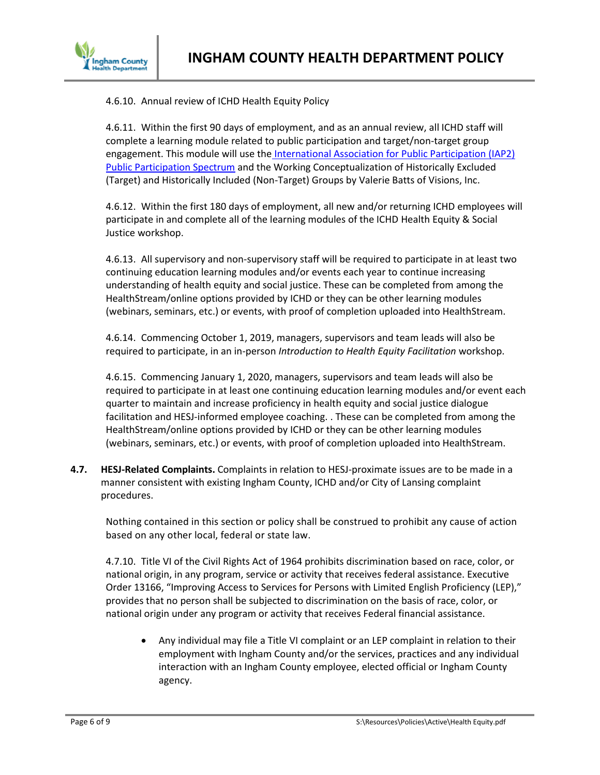

4.6.10. Annual review of ICHD Health Equity Policy

4.6.11. Within the first 90 days of employment, and as an annual review, all ICHD staff will complete a learning module related to public participation and target/non-target group engagement. This module will use the International Association for Public Participation (IAP2) [Public Participation Spectrum](https://cdn.ymaws.com/www.iap2.org/resource/resmgr/foundations_course/IAP2_P2_Spectrum_FINAL.pdf) and the Working Conceptualization of Historically Excluded (Target) and Historically Included (Non-Target) Groups by Valerie Batts of Visions, Inc.

4.6.12. Within the first 180 days of employment, all new and/or returning ICHD employees will participate in and complete all of the learning modules of the ICHD Health Equity & Social Justice workshop.

4.6.13. All supervisory and non-supervisory staff will be required to participate in at least two continuing education learning modules and/or events each year to continue increasing understanding of health equity and social justice. These can be completed from among the HealthStream/online options provided by ICHD or they can be other learning modules (webinars, seminars, etc.) or events, with proof of completion uploaded into HealthStream.

4.6.14. Commencing October 1, 2019, managers, supervisors and team leads will also be required to participate, in an in-person *Introduction to Health Equity Facilitation* workshop.

4.6.15. Commencing January 1, 2020, managers, supervisors and team leads will also be required to participate in at least one continuing education learning modules and/or event each quarter to maintain and increase proficiency in health equity and social justice dialogue facilitation and HESJ-informed employee coaching. . These can be completed from among the HealthStream/online options provided by ICHD or they can be other learning modules (webinars, seminars, etc.) or events, with proof of completion uploaded into HealthStream.

**4.7. HESJ-Related Complaints.** Complaints in relation to HESJ-proximate issues are to be made in a manner consistent with existing Ingham County, ICHD and/or City of Lansing complaint procedures.

Nothing contained in this section or policy shall be construed to prohibit any cause of action based on any other local, federal or state law.

4.7.10. Title VI of the Civil Rights Act of 1964 prohibits discrimination based on race, color, or national origin, in any program, service or activity that receives federal assistance. Executive Order 13166, "Improving Access to Services for Persons with Limited English Proficiency (LEP)," provides that no person shall be subjected to discrimination on the basis of race, color, or national origin under any program or activity that receives Federal financial assistance.

 Any individual may file a Title VI complaint or an LEP complaint in relation to their employment with Ingham County and/or the services, practices and any individual interaction with an Ingham County employee, elected official or Ingham County agency.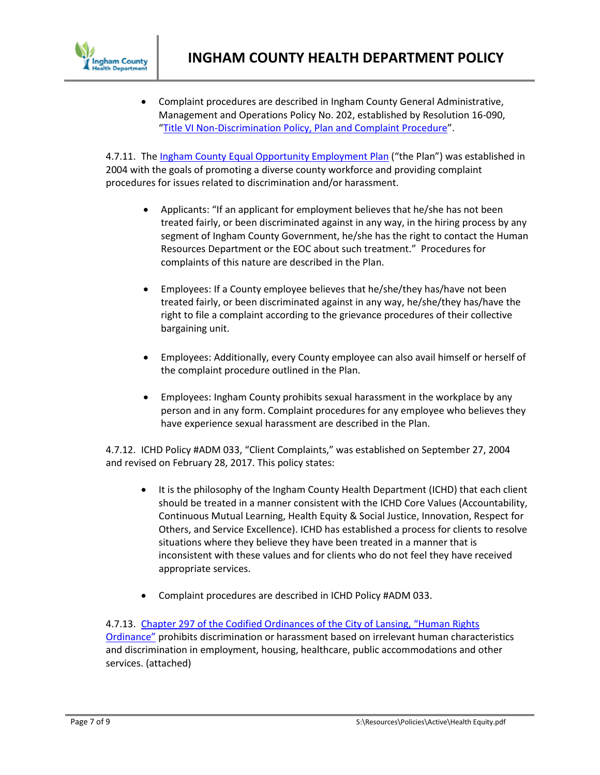

 Complaint procedures are described in Ingham County General Administrative, Management and Operations Policy No. 202, established by Resolution 16-090, "Title [VI Non-Discrimination Policy, Plan and Complaint Procedure](http://co.ingham.org/Portals/6/Policies/202%20Title%20VI%20Non-Discrimination%20Policy.docx)".

4.7.11. The [Ingham County Equal Opportunity Employment Plan](http://co.ingham.org/Portals/6/Policies/103%20Equal%20Opportunity%20Employment%20Plan.docx) ("the Plan") was established in 2004 with the goals of promoting a diverse county workforce and providing complaint procedures for issues related to discrimination and/or harassment.

- Applicants: "If an applicant for employment believes that he/she has not been treated fairly, or been discriminated against in any way, in the hiring process by any segment of Ingham County Government, he/she has the right to contact the Human Resources Department or the EOC about such treatment." Procedures for complaints of this nature are described in the Plan.
- Employees: If a County employee believes that he/she/they has/have not been treated fairly, or been discriminated against in any way, he/she/they has/have the right to file a complaint according to the grievance procedures of their collective bargaining unit.
- Employees: Additionally, every County employee can also avail himself or herself of the complaint procedure outlined in the Plan.
- Employees: Ingham County prohibits sexual harassment in the workplace by any person and in any form. Complaint procedures for any employee who believes they have experience sexual harassment are described in the Plan.

4.7.12. ICHD Policy #ADM 033, "Client Complaints," was established on September 27, 2004 and revised on February 28, 2017. This policy states:

- It is the philosophy of the Ingham County Health Department (ICHD) that each client should be treated in a manner consistent with the ICHD Core Values (Accountability, Continuous Mutual Learning, Health Equity & Social Justice, Innovation, Respect for Others, and Service Excellence). ICHD has established a process for clients to resolve situations where they believe they have been treated in a manner that is inconsistent with these values and for clients who do not feel they have received appropriate services.
- Complaint procedures are described in ICHD Policy #ADM 033.

### 4.7.13. [Chapter 297 of the Codified Ordinances of the City of Lansing,](https://library.municode.com/mi/lansing/codes/code_of_ordinances?nodeId=COOR_PT2ADCO_TIT12CIRI_CH297HURI) "Human Rights

[Ordinance"](https://library.municode.com/mi/lansing/codes/code_of_ordinances?nodeId=COOR_PT2ADCO_TIT12CIRI_CH297HURI) prohibits discrimination or harassment based on irrelevant human characteristics and discrimination in employment, housing, healthcare, public accommodations and other services. (attached)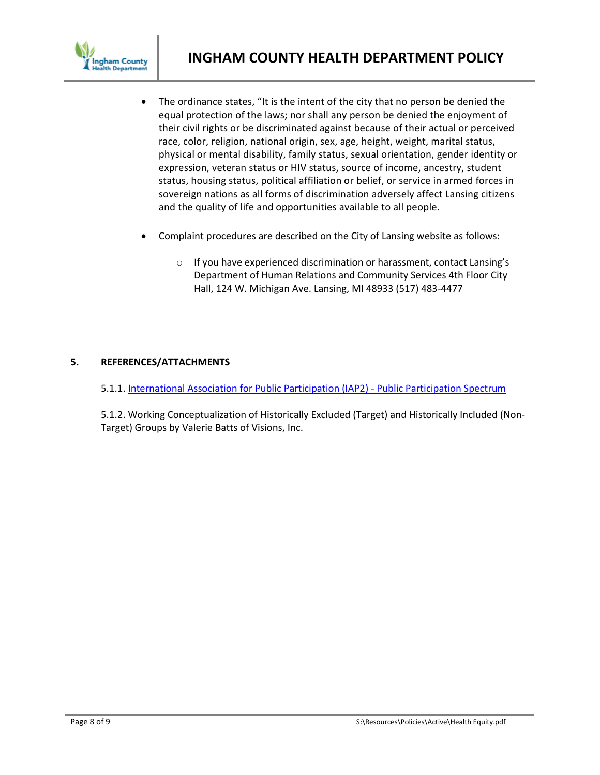

- The ordinance states, "It is the intent of the city that no person be denied the equal protection of the laws; nor shall any person be denied the enjoyment of their civil rights or be discriminated against because of their actual or perceived race, color, religion, national origin, sex, age, height, weight, marital status, physical or mental disability, family status, sexual orientation, gender identity or expression, veteran status or HIV status, source of income, ancestry, student status, housing status, political affiliation or belief, or service in armed forces in sovereign nations as all forms of discrimination adversely affect Lansing citizens and the quality of life and opportunities available to all people.
- Complaint procedures are described on the City of Lansing website as follows:
	- o If you have experienced discrimination or harassment, contact Lansing's Department of Human Relations and Community Services 4th Floor City Hall, 124 W. Michigan Ave. Lansing, MI 48933 (517) 483-4477

## **5. REFERENCES/ATTACHMENTS**

5.1.1[. International Association for Public Participation \(IAP2\) -](https://cdn.ymaws.com/www.iap2.org/resource/resmgr/foundations_course/IAP2_P2_Spectrum_FINAL.pdf) Public Participation Spectrum

5.1.2. Working Conceptualization of Historically Excluded (Target) and Historically Included (Non-Target) Groups by Valerie Batts of Visions, Inc.